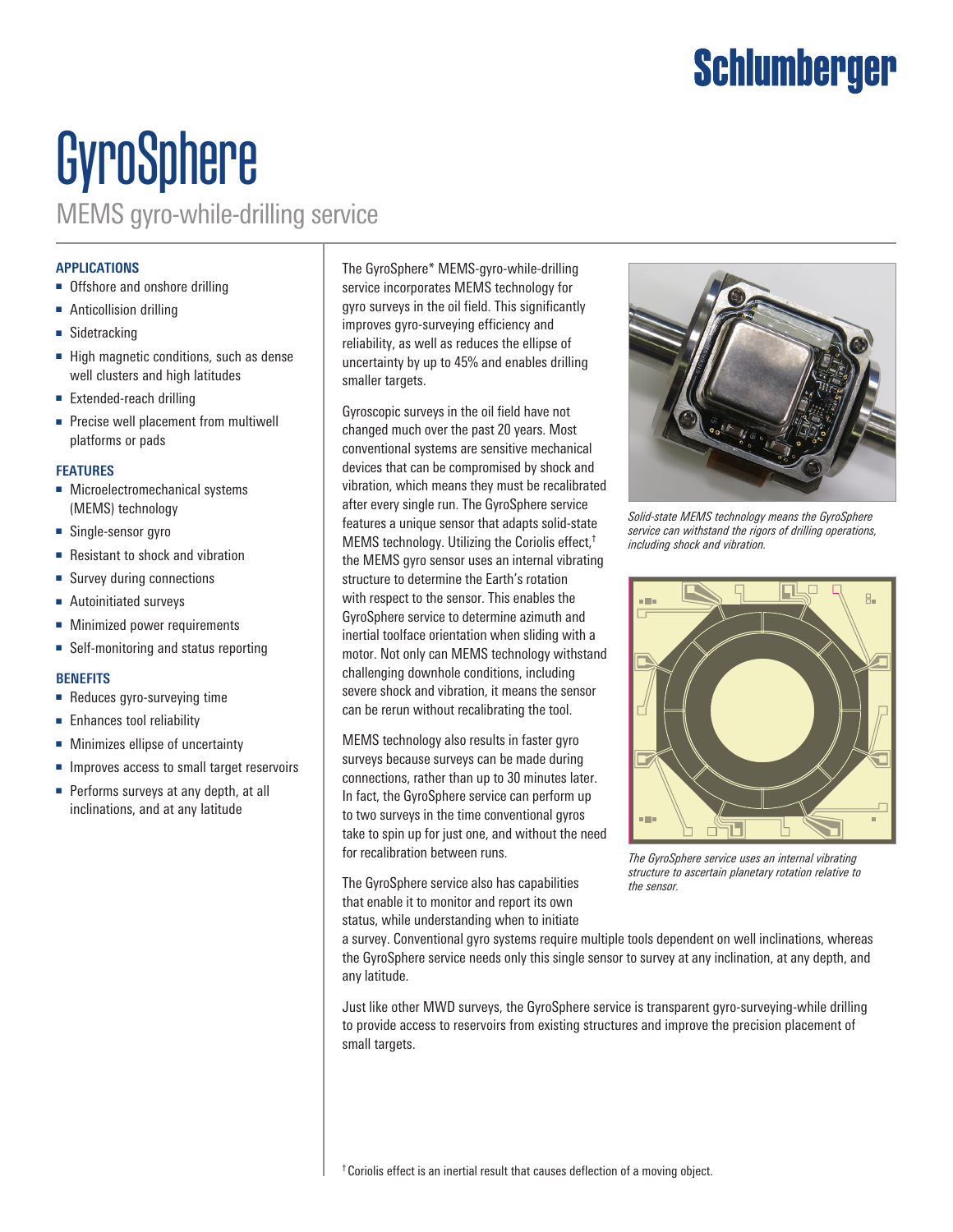### Schlumberger

# GyroSphere

MEMS gyro-while-drilling service

#### **APPLICATIONS**

- Offshore and onshore drilling
- Anticollision drilling
- Sidetracking
- High magnetic conditions, such as dense well clusters and high latitudes
- Extended-reach drilling
- Precise well placement from multiwell platforms or pads

#### **FEATURES**

- Microelectromechanical systems (MEMS) technology
- Single-sensor gyro
- Resistant to shock and vibration
- Survey during connections
- Autoinitiated surveys
- Minimized power requirements
- Self-monitoring and status reporting

#### **BENEFITS**

- Reduces gyro-surveying time
- Enhances tool reliability
- Minimizes ellipse of uncertainty
- Improves access to small target reservoirs
- Performs surveys at any depth, at all inclinations, and at any latitude

The GyroSphere\* MEMS-gyro-while-drilling service incorporates MEMS technology for gyro surveys in the oil field. This significantly improves gyro-surveying efficiency and reliability, as well as reduces the ellipse of uncertainty by up to 45% and enables drilling smaller targets.

Gyroscopic surveys in the oil field have not changed much over the past 20 years. Most conventional systems are sensitive mechanical devices that can be compromised by shock and vibration, which means they must be recalibrated after every single run. The GyroSphere service features a unique sensor that adapts solid-state MEMS technology. Utilizing the Coriolis effect,† the MEMS gyro sensor uses an internal vibrating structure to determine the Earth's rotation with respect to the sensor. This enables the GyroSphere service to determine azimuth and inertial toolface orientation when sliding with a motor. Not only can MEMS technology withstand challenging downhole conditions, including severe shock and vibration, it means the sensor can be rerun without recalibrating the tool.

MEMS technology also results in faster gyro surveys because surveys can be made during connections, rather than up to 30 minutes later. In fact, the GyroSphere service can perform up to two surveys in the time conventional gyros take to spin up for just one, and without the need for recalibration between runs.

The GyroSphere service also has capabilities that enable it to monitor and report its own status, while understanding when to initiate



*Solid-state MEMS technology means the GyroSphere service can withstand the rigors of drilling operations, including shock and vibration.*



*The GyroSphere service uses an internal vibrating structure to ascertain planetary rotation relative to the sensor.*

a survey. Conventional gyro systems require multiple tools dependent on well inclinations, whereas the GyroSphere service needs only this single sensor to survey at any inclination, at any depth, and any latitude.

Just like other MWD surveys, the GyroSphere service is transparent gyro-surveying-while drilling to provide access to reservoirs from existing structures and improve the precision placement of small targets.

<sup>†</sup> Coriolis effect is an inertial result that causes deflection of a moving object.